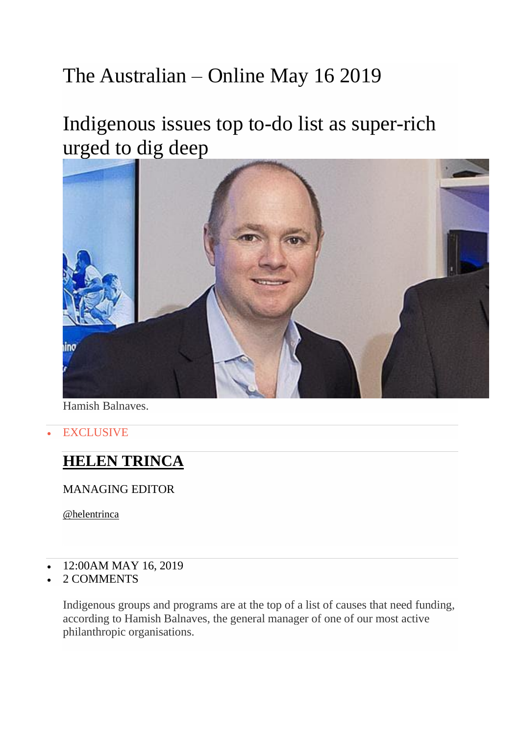## The Australian – Online May 16 2019

## Indigenous issues top to-do list as super-rich [urged to dig deep](https://cdn.newsapi.com.au/image/v1/23f31c7aec8a2912f7fea22d1de75d5a)



Hamish Balnaves.

**EXCLUSIVE** 

## **[HELEN TRINCA](https://www.theaustralian.com.au/author/Helen+Trinca)**

MANAGING EDITOR

[@helentrinca](http://twitter.com/helentrinca)

- 12:00AM MAY 16, 2019
- 2 [COMMENTS](https://www.theaustralian.com.au/business/indigenous-issues-top-todo-list-as-superrich-urged-to-dig-deep/news-story/717abc0fbe27cdba609c05470a127946?btr=a47bfcb367b2e41d204c0375cb8612ca#coral)

Indigenous groups and programs are at the top of a list of causes that need funding, according to Hamish Balnaves, the general manager of one of our most active philanthropic organisations.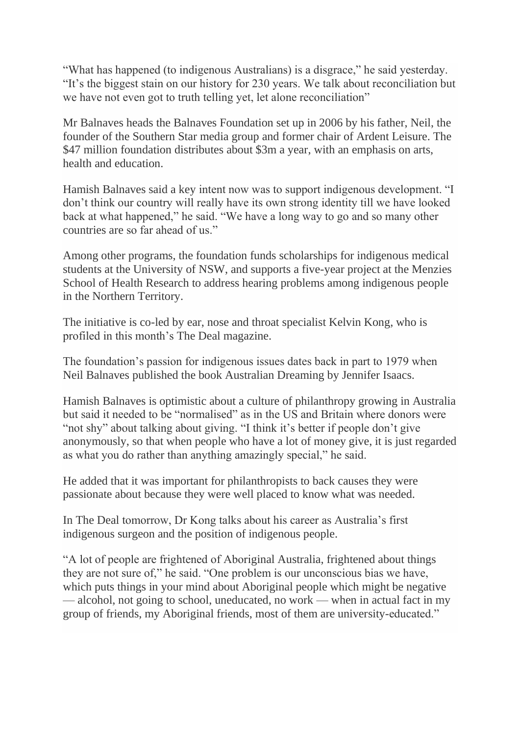"What has happened (to indigenous Australians) is a disgrace," he said yesterday. "It's the biggest stain on our history for 230 years. We talk about reconciliation but we have not even got to truth telling yet, let alone reconciliation"

Mr Balnaves heads the Balnaves Foundation set up in 2006 by his father, Neil, the founder of the Southern Star media group and former chair of Ardent Leisure. The \$47 million foundation distributes about \$3m a year, with an emphasis on arts, health and education.

Hamish Balnaves said a key intent now was to support indigenous development. "I don't think our country will really have its own strong identity till we have looked back at what happened," he said. "We have a long way to go and so many other countries are so far ahead of us."

Among other programs, the foundation funds scholarships for indigenous medical students at the University of NSW, and supports a five-year project at the Menzies School of Health Research to address hearing problems among indigenous people in the Northern Territory.

The initiative is co-led by ear, nose and throat specialist Kelvin Kong, who is profiled in this month's The Deal magazine.

The foundation's passion for indigenous issues dates back in part to 1979 when Neil Balnaves published the book Australian Dreaming by Jennifer Isaacs.

Hamish Balnaves is optimistic about a culture of philanthropy growing in Australia but said it needed to be "normalised" as in the US and Britain where donors were "not shy" about talking about giving. "I think it's better if people don't give anonymously, so that when people who have a lot of money give, it is just regarded as what you do rather than anything amazingly special," he said.

He added that it was important for philanthropists to back causes they were passionate about because they were well placed to know what was needed.

In The Deal tomorrow, Dr Kong talks about his career as Australia's first indigenous surgeon and the position of indigenous people.

"A lot of people are frightened of Aboriginal Australia, frightened about things they are not sure of," he said. "One problem is our unconscious bias we have, which puts things in your mind about Aboriginal people which might be negative — alcohol, not going to school, uneducated, no work — when in actual fact in my group of friends, my Aboriginal friends, most of them are university-educated."